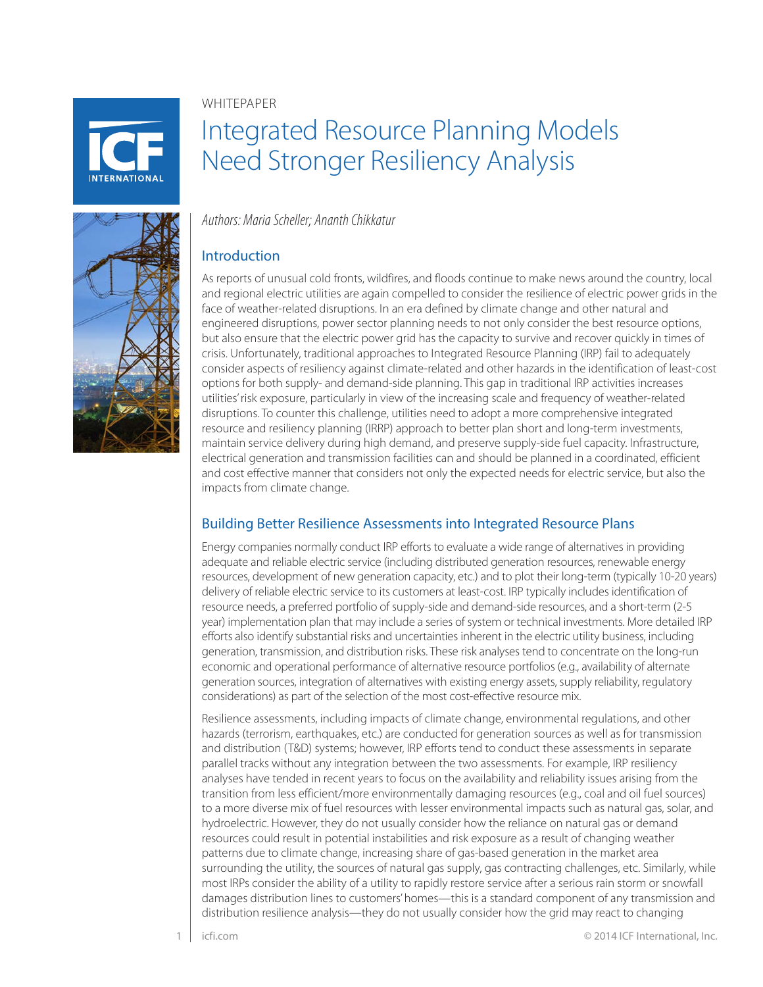**NTFRNATIONAL** 

#### WHITEPAPER

# Integrated Resource Planning Models Need Stronger Resiliency Analysis

# *Authors: Maria Scheller; Ananth Chikkatur*

# Introduction

As reports of unusual cold fronts, wildfires, and floods continue to make news around the country, local and regional electric utilities are again compelled to consider the resilience of electric power grids in the face of weather-related disruptions. In an era defined by climate change and other natural and engineered disruptions, power sector planning needs to not only consider the best resource options, but also ensure that the electric power grid has the capacity to survive and recover quickly in times of crisis. Unfortunately, traditional approaches to Integrated Resource Planning (IRP) fail to adequately consider aspects of resiliency against climate-related and other hazards in the identification of least-cost options for both supply- and demand-side planning. This gap in traditional IRP activities increases utilities' risk exposure, particularly in view of the increasing scale and frequency of weather-related disruptions. To counter this challenge, utilities need to adopt a more comprehensive integrated resource and resiliency planning (IRRP) approach to better plan short and long-term investments, maintain service delivery during high demand, and preserve supply-side fuel capacity. Infrastructure, electrical generation and transmission facilities can and should be planned in a coordinated, efficient and cost effective manner that considers not only the expected needs for electric service, but also the impacts from climate change.

## Building Better Resilience Assessments into Integrated Resource Plans

Energy companies normally conduct IRP efforts to evaluate a wide range of alternatives in providing adequate and reliable electric service (including distributed generation resources, renewable energy resources, development of new generation capacity, etc.) and to plot their long-term (typically 10-20 years) delivery of reliable electric service to its customers at least-cost. IRP typically includes identification of resource needs, a preferred portfolio of supply-side and demand-side resources, and a short-term (2-5 year) implementation plan that may include a series of system or technical investments. More detailed IRP efforts also identify substantial risks and uncertainties inherent in the electric utility business, including generation, transmission, and distribution risks. These risk analyses tend to concentrate on the long-run economic and operational performance of alternative resource portfolios (e.g., availability of alternate generation sources, integration of alternatives with existing energy assets, supply reliability, regulatory considerations) as part of the selection of the most cost-effective resource mix.

Resilience assessments, including impacts of climate change, environmental regulations, and other hazards (terrorism, earthquakes, etc.) are conducted for generation sources as well as for transmission and distribution (T&D) systems; however, IRP efforts tend to conduct these assessments in separate parallel tracks without any integration between the two assessments. For example, IRP resiliency analyses have tended in recent years to focus on the availability and reliability issues arising from the transition from less efficient/more environmentally damaging resources (e.g., coal and oil fuel sources) to a more diverse mix of fuel resources with lesser environmental impacts such as natural gas, solar, and hydroelectric. However, they do not usually consider how the reliance on natural gas or demand resources could result in potential instabilities and risk exposure as a result of changing weather patterns due to climate change, increasing share of gas-based generation in the market area surrounding the utility, the sources of natural gas supply, gas contracting challenges, etc. Similarly, while most IRPs consider the ability of a utility to rapidly restore service after a serious rain storm or snowfall damages distribution lines to customers' homes—this is a standard component of any transmission and distribution resilience analysis—they do not usually consider how the grid may react to changing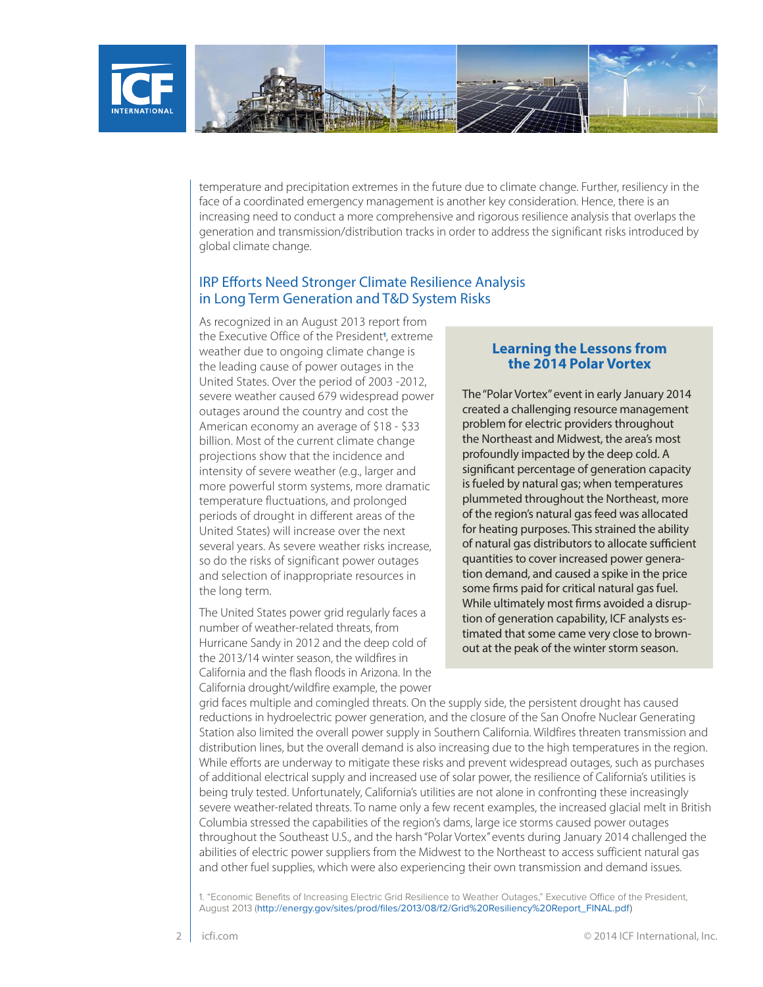

temperature and precipitation extremes in the future due to climate change. Further, resiliency in the face of a coordinated emergency management is another key consideration. Hence, there is an increasing need to conduct a more comprehensive and rigorous resilience analysis that overlaps the generation and transmission/distribution tracks in order to address the significant risks introduced by global climate change.

#### IRP Efforts Need Stronger Climate Resilience Analysis in Long Term Generation and T&D System Risks

As recognized in an August 2013 report from the Executive Office of the President**<sup>1</sup>** , extreme weather due to ongoing climate change is the leading cause of power outages in the United States. Over the period of 2003 -2012, severe weather caused 679 widespread power outages around the country and cost the American economy an average of \$18 - \$33 billion. Most of the current climate change projections show that the incidence and intensity of severe weather (e.g., larger and more powerful storm systems, more dramatic temperature fluctuations, and prolonged periods of drought in different areas of the United States) will increase over the next several years. As severe weather risks increase, so do the risks of significant power outages and selection of inappropriate resources in the long term.

The United States power grid regularly faces a number of weather-related threats, from Hurricane Sandy in 2012 and the deep cold of the 2013/14 winter season, the wildfires in California and the flash floods in Arizona. In the California drought/wildfire example, the power

#### **Learning the Lessons from the 2014 Polar Vortex**

The "Polar Vortex" event in early January 2014 created a challenging resource management problem for electric providers throughout the Northeast and Midwest, the area's most profoundly impacted by the deep cold. A significant percentage of generation capacity is fueled by natural gas; when temperatures plummeted throughout the Northeast, more of the region's natural gas feed was allocated for heating purposes. This strained the ability of natural gas distributors to allocate sufficient quantities to cover increased power generation demand, and caused a spike in the price some firms paid for critical natural gas fuel. While ultimately most firms avoided a disruption of generation capability, ICF analysts estimated that some came very close to brownout at the peak of the winter storm season.

grid faces multiple and comingled threats. On the supply side, the persistent drought has caused reductions in hydroelectric power generation, and the closure of the San Onofre Nuclear Generating Station also limited the overall power supply in Southern California. Wildfires threaten transmission and distribution lines, but the overall demand is also increasing due to the high temperatures in the region. While efforts are underway to mitigate these risks and prevent widespread outages, such as purchases of additional electrical supply and increased use of solar power, the resilience of California's utilities is being truly tested. Unfortunately, California's utilities are not alone in confronting these increasingly severe weather-related threats. To name only a few recent examples, the increased glacial melt in British Columbia stressed the capabilities of the region's dams, large ice storms caused power outages throughout the Southeast U.S., and the harsh "Polar Vortex" events during January 2014 challenged the abilities of electric power suppliers from the Midwest to the Northeast to access sufficient natural gas and other fuel supplies, which were also experiencing their own transmission and demand issues.

1. "Economic Benefits of Increasing Electric Grid Resilience to Weather Outages," Executive Office of the President, August 2013 (http://energy.gov/sites/prod/files/2013/08/f2/Grid%20Resiliency%20Report\_FINAL.pdf)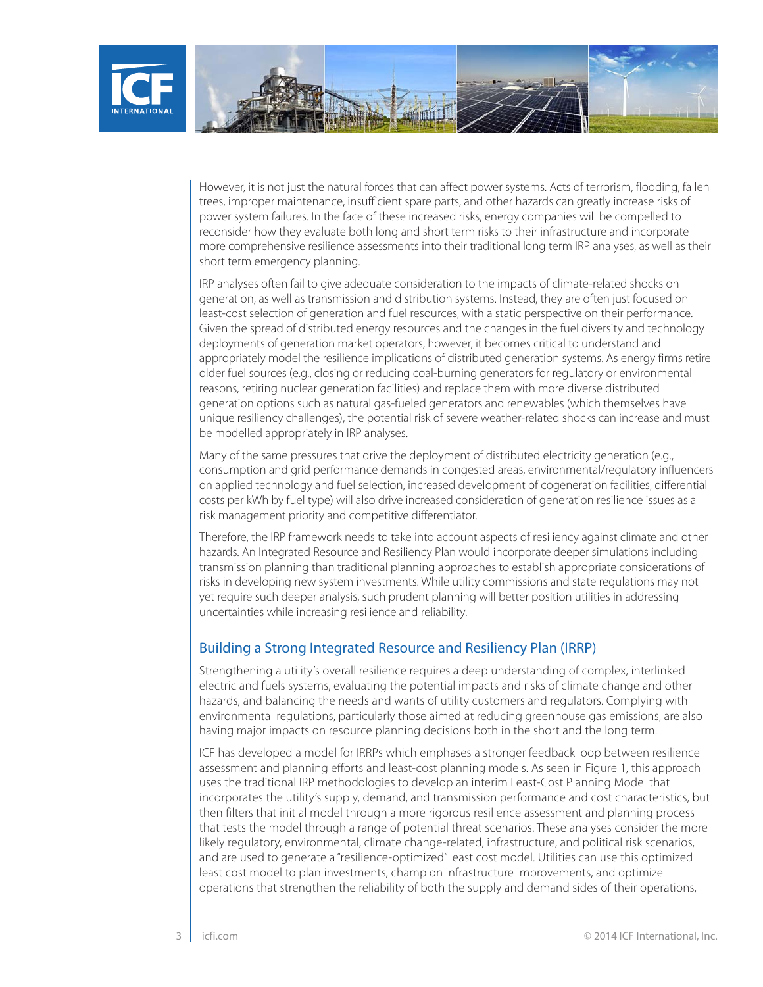

However, it is not just the natural forces that can affect power systems. Acts of terrorism, flooding, fallen trees, improper maintenance, insufficient spare parts, and other hazards can greatly increase risks of power system failures. In the face of these increased risks, energy companies will be compelled to reconsider how they evaluate both long and short term risks to their infrastructure and incorporate more comprehensive resilience assessments into their traditional long term IRP analyses, as well as their short term emergency planning.

IRP analyses often fail to give adequate consideration to the impacts of climate-related shocks on generation, as well as transmission and distribution systems. Instead, they are often just focused on least-cost selection of generation and fuel resources, with a static perspective on their performance. Given the spread of distributed energy resources and the changes in the fuel diversity and technology deployments of generation market operators, however, it becomes critical to understand and appropriately model the resilience implications of distributed generation systems. As energy firms retire older fuel sources (e.g., closing or reducing coal-burning generators for regulatory or environmental reasons, retiring nuclear generation facilities) and replace them with more diverse distributed generation options such as natural gas-fueled generators and renewables (which themselves have unique resiliency challenges), the potential risk of severe weather-related shocks can increase and must be modelled appropriately in IRP analyses.

Many of the same pressures that drive the deployment of distributed electricity generation (e.g., consumption and grid performance demands in congested areas, environmental/regulatory influencers on applied technology and fuel selection, increased development of cogeneration facilities, differential costs per kWh by fuel type) will also drive increased consideration of generation resilience issues as a risk management priority and competitive differentiator.

Therefore, the IRP framework needs to take into account aspects of resiliency against climate and other hazards. An Integrated Resource and Resiliency Plan would incorporate deeper simulations including transmission planning than traditional planning approaches to establish appropriate considerations of risks in developing new system investments. While utility commissions and state regulations may not yet require such deeper analysis, such prudent planning will better position utilities in addressing uncertainties while increasing resilience and reliability.

## Building a Strong Integrated Resource and Resiliency Plan (IRRP)

Strengthening a utility's overall resilience requires a deep understanding of complex, interlinked electric and fuels systems, evaluating the potential impacts and risks of climate change and other hazards, and balancing the needs and wants of utility customers and regulators. Complying with environmental regulations, particularly those aimed at reducing greenhouse gas emissions, are also having major impacts on resource planning decisions both in the short and the long term.

ICF has developed a model for IRRPs which emphases a stronger feedback loop between resilience assessment and planning efforts and least-cost planning models. As seen in Figure 1, this approach uses the traditional IRP methodologies to develop an interim Least-Cost Planning Model that incorporates the utility's supply, demand, and transmission performance and cost characteristics, but then filters that initial model through a more rigorous resilience assessment and planning process that tests the model through a range of potential threat scenarios. These analyses consider the more likely regulatory, environmental, climate change-related, infrastructure, and political risk scenarios, and are used to generate a "resilience-optimized" least cost model. Utilities can use this optimized least cost model to plan investments, champion infrastructure improvements, and optimize operations that strengthen the reliability of both the supply and demand sides of their operations,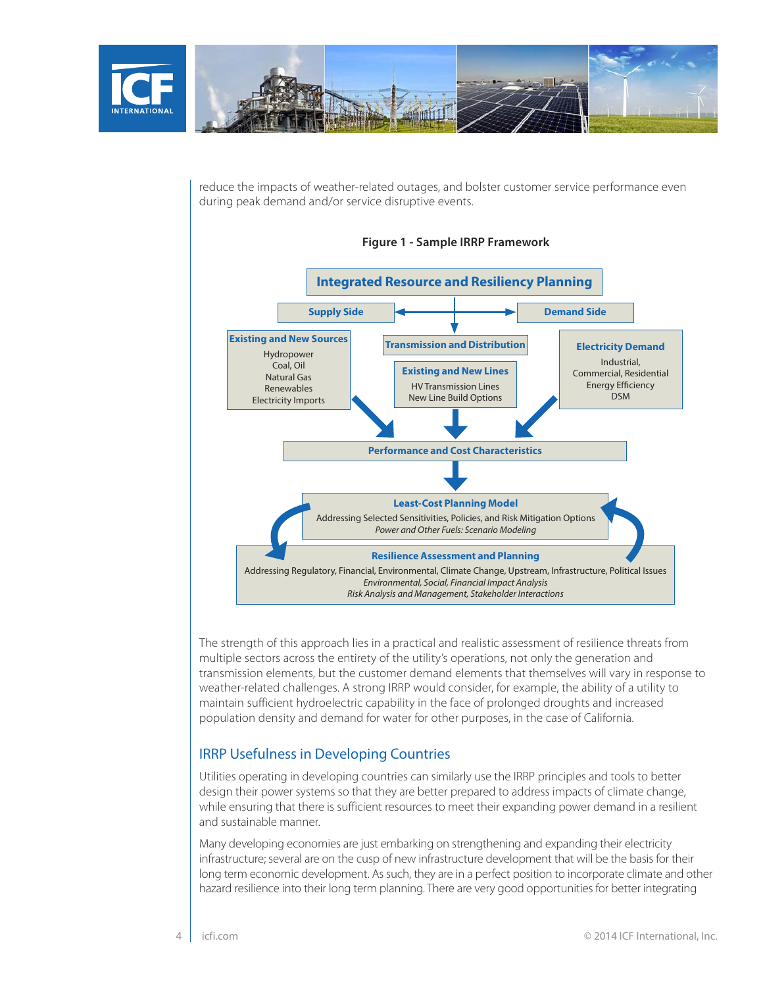

reduce the impacts of weather-related outages, and bolster customer service performance even during peak demand and/or service disruptive events.



The strength of this approach lies in a practical and realistic assessment of resilience threats from multiple sectors across the entirety of the utility's operations, not only the generation and transmission elements, but the customer demand elements that themselves will vary in response to weather-related challenges. A strong IRRP would consider, for example, the ability of a utility to maintain sufficient hydroelectric capability in the face of prolonged droughts and increased population density and demand for water for other purposes, in the case of California.

## IRRP Usefulness in Developing Countries

Utilities operating in developing countries can similarly use the IRRP principles and tools to better design their power systems so that they are better prepared to address impacts of climate change, while ensuring that there is sufficient resources to meet their expanding power demand in a resilient and sustainable manner.

Many developing economies are just embarking on strengthening and expanding their electricity infrastructure; several are on the cusp of new infrastructure development that will be the basis for their long term economic development. As such, they are in a perfect position to incorporate climate and other hazard resilience into their long term planning. There are very good opportunities for better integrating